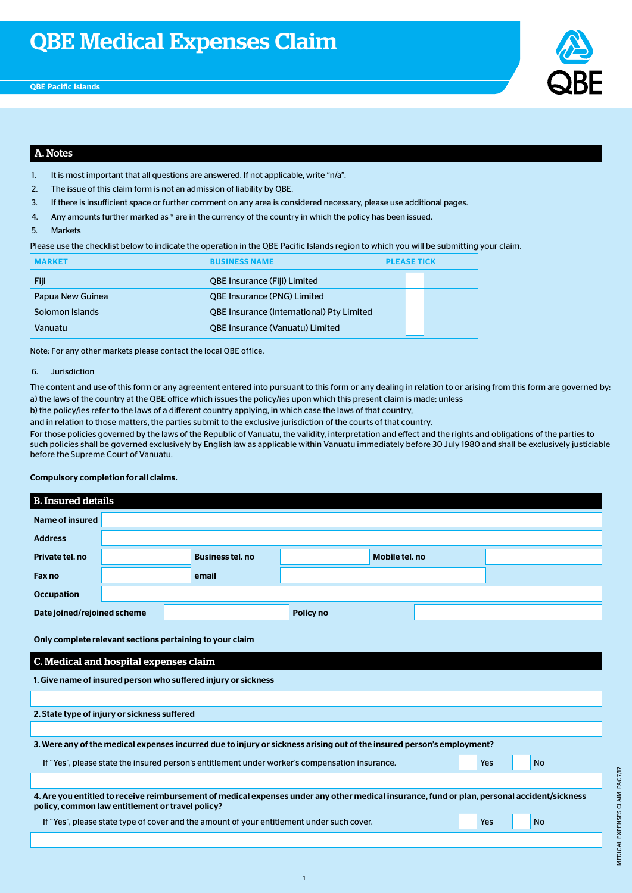

### A. Notes

- 1. It is most important that all questions are answered. If not applicable, write "n/a".
- 2. The issue of this claim form is not an admission of liability by QBE.
- 3. If there is insufficient space or further comment on any area is considered necessary, please use additional pages.
- 4. Any amounts further marked as \* are in the currency of the country in which the policy has been issued.
- 5. Markets

Please use the checklist below to indicate the operation in the QBE Pacific Islands region to which you will be submitting your claim.

| <b>MARKET</b>    | <b>BUSINESS NAME</b>                             |  | <b>PLEASE TICK</b> |  |
|------------------|--------------------------------------------------|--|--------------------|--|
| Fiji             | <b>QBE Insurance (Fiji) Limited</b>              |  |                    |  |
| Papua New Guinea | <b>QBE Insurance (PNG) Limited</b>               |  |                    |  |
| Solomon Islands  | <b>QBE Insurance (International) Pty Limited</b> |  |                    |  |
| Vanuatu          | <b>QBE Insurance (Vanuatu) Limited</b>           |  |                    |  |

Note: For any other markets please contact the local QBE office.

#### 6. Jurisdiction

The content and use of this form or any agreement entered into pursuant to this form or any dealing in relation to or arising from this form are governed by: a) the laws of the country at the QBE office which issues the policy/ies upon which this present claim is made; unless

b) the policy/ies refer to the laws of a different country applying, in which case the laws of that country,

and in relation to those matters, the parties submit to the exclusive jurisdiction of the courts of that country.

For those policies governed by the laws of the Republic of Vanuatu, the validity, interpretation and effect and the rights and obligations of the parties to such policies shall be governed exclusively by English law as applicable within Vanuatu immediately before 30 July 1980 and shall be exclusively justiciable before the Supreme Court of Vanuatu.

#### Compulsory completion for all claims.

# B. Insured details Name of insured Address Private tel. no Business tel. no Mobile tel. no Fax no email **Occupation** Date joined/rejoined scheme Policy no Policy no Only complete relevant sections pertaining to your claim

C. Medical and hospital expenses claim

| 1. Give name of insured person who suffered injury or sickness                                                                                                                                   |     |           |  |  |  |
|--------------------------------------------------------------------------------------------------------------------------------------------------------------------------------------------------|-----|-----------|--|--|--|
|                                                                                                                                                                                                  |     |           |  |  |  |
| 2. State type of injury or sickness suffered                                                                                                                                                     |     |           |  |  |  |
|                                                                                                                                                                                                  |     |           |  |  |  |
| 3. Were any of the medical expenses incurred due to injury or sickness arising out of the insured person's employment?                                                                           |     |           |  |  |  |
| If "Yes", please state the insured person's entitlement under worker's compensation insurance.                                                                                                   | Yes | <b>No</b> |  |  |  |
|                                                                                                                                                                                                  |     |           |  |  |  |
| 4. Are you entitled to receive reimbursement of medical expenses under any other medical insurance, fund or plan, personal accident/sickness<br>policy, common law entitlement or travel policy? |     |           |  |  |  |
| If "Yes", please state type of cover and the amount of your entitlement under such cover.                                                                                                        | Yes | <b>No</b> |  |  |  |

1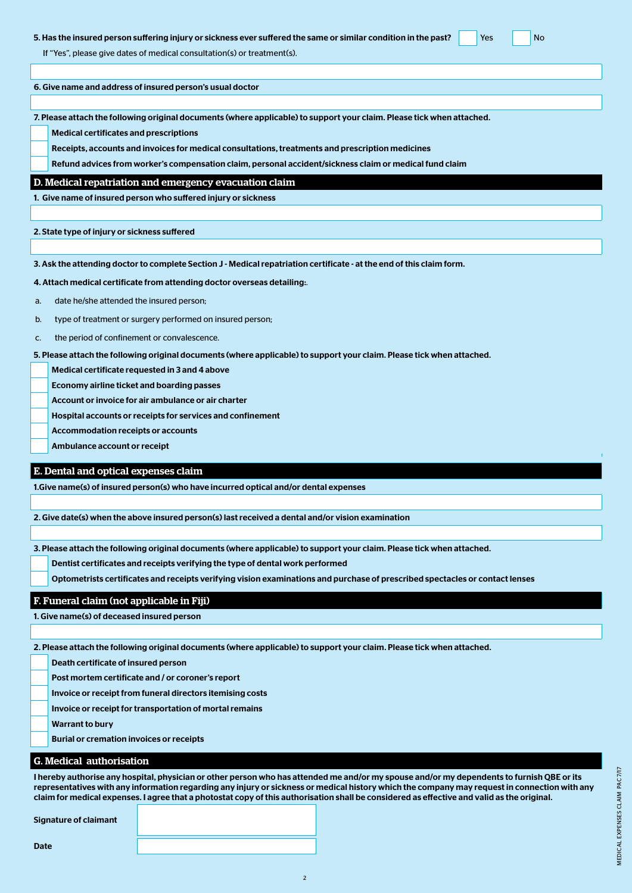#### 5. Has the insured person suffering injury or sickness ever suffered the same or similar condition in the past? Yes No

If "Yes", please give dates of medical consultation(s) or treatment(s).

6. Give name and address of insured person's usual doctor

7. Please attach the following original documents (where applicable) to support your claim. Please tick when attached.

Medical certificates and prescriptions

Receipts, accounts and invoices for medical consultations, treatments and prescription medicines

Refund advices from worker's compensation claim, personal accident/sickness claim or medical fund claim

#### D. Medical repatriation and emergency evacuation claim

1. Give name of insured person who suffered injury or sickness

2. State type of injury or sickness suffered

3. Ask the attending doctor to complete Section J - Medical repatriation certificate - at the end of this claim form.

4. Attach medical certificate from attending doctor overseas detailing:.

- a. date he/she attended the insured person;
- b. type of treatment or surgery performed on insured person;
- c. the period of confinement or convalescence.

5. Please attach the following original documents (where applicable) to support your claim. Please tick when attached.

Medical certificate requested in 3 and 4 above

Economy airline ticket and boarding passes

- Account or invoice for air ambulance or air charter
- Hospital accounts or receipts for services and confinement
- Accommodation receipts or accounts
- Ambulance account or receipt

#### E. Dental and optical expenses claim

1.Give name(s) of insured person(s) who have incurred optical and/or dental expenses

2. Give date(s) when the above insured person(s) last received a dental and/or vision examination

3. Please attach the following original documents (where applicable) to support your claim. Please tick when attached.

Dentist certificates and receipts verifying the type of dental work performed

Optometrists certificates and receipts verifying vision examinations and purchase of prescribed spectacles or contact lenses

#### F. Funeral claim (not applicable in Fiji)

1. Give name(s) of deceased insured person

2. Please attach the following original documents (where applicable) to support your claim. Please tick when attached.

Death certificate of insured person

Post mortem certificate and / or coroner's report

Invoice or receipt from funeral directors itemising costs

Invoice or receipt for transportation of mortal remains

Warrant to bury

Burial or cremation invoices or receipts

#### G. Medical authorisation

I hereby authorise any hospital, physician or other person who has attended me and/or my spouse and/or my dependents to furnish QBE or its representatives with any information regarding any injury or sickness or medical history which the company may request in connection with any claim for medical expenses. I agree that a photostat copy of this authorisation shall be considered as effective and valid as the original.

2

Signature of claimant

MEDICAL EXPENSES CLAIM PAC 7/17 MEDICAL EXPENSES CLAIM PAC 7/17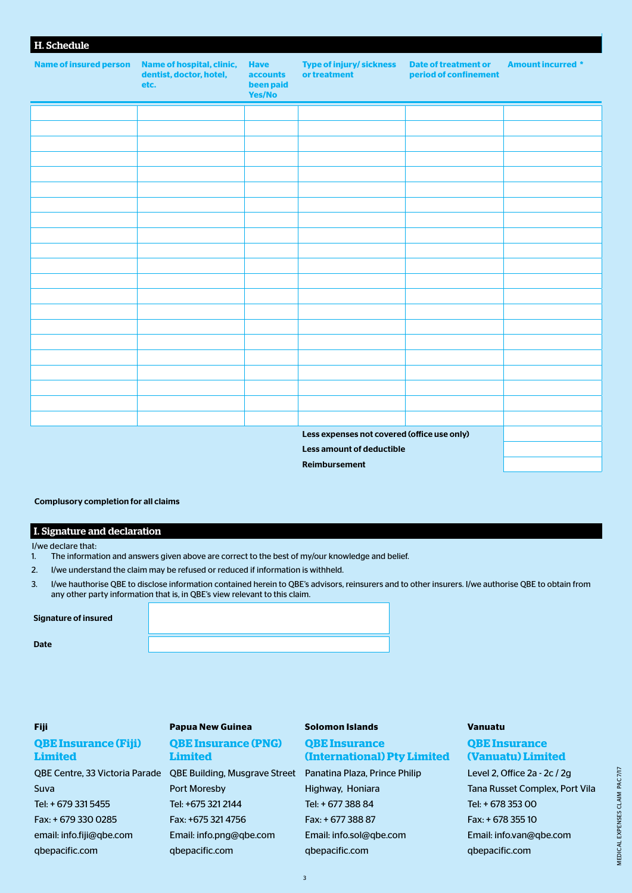| H. Schedule                   |                                                              |                                                       |                                                 |                                                      |                          |
|-------------------------------|--------------------------------------------------------------|-------------------------------------------------------|-------------------------------------------------|------------------------------------------------------|--------------------------|
| <b>Name of insured person</b> | Name of hospital, clinic,<br>dentist, doctor, hotel,<br>etc. | <b>Have</b><br><b>accounts</b><br>been paid<br>Yes/No | <b>Type of injury/ sickness</b><br>or treatment | <b>Date of treatment or</b><br>period of confinement | <b>Amount incurred *</b> |
|                               |                                                              |                                                       |                                                 |                                                      |                          |
|                               |                                                              |                                                       |                                                 |                                                      |                          |
|                               |                                                              |                                                       |                                                 |                                                      |                          |
|                               |                                                              |                                                       |                                                 |                                                      |                          |
|                               |                                                              |                                                       |                                                 |                                                      |                          |
|                               |                                                              |                                                       |                                                 |                                                      |                          |
|                               |                                                              |                                                       |                                                 |                                                      |                          |
|                               |                                                              |                                                       |                                                 |                                                      |                          |
|                               |                                                              |                                                       |                                                 |                                                      |                          |
|                               |                                                              |                                                       |                                                 |                                                      |                          |
|                               |                                                              |                                                       |                                                 |                                                      |                          |
|                               |                                                              |                                                       |                                                 |                                                      |                          |
|                               |                                                              |                                                       |                                                 |                                                      |                          |
|                               |                                                              |                                                       |                                                 |                                                      |                          |
|                               |                                                              |                                                       |                                                 |                                                      |                          |
|                               |                                                              |                                                       |                                                 |                                                      |                          |
|                               |                                                              |                                                       |                                                 |                                                      |                          |
|                               |                                                              |                                                       |                                                 |                                                      |                          |
|                               |                                                              |                                                       |                                                 |                                                      |                          |
|                               |                                                              |                                                       |                                                 |                                                      |                          |
|                               |                                                              |                                                       |                                                 |                                                      |                          |
|                               |                                                              |                                                       | Less expenses not covered (office use only)     |                                                      |                          |
|                               |                                                              |                                                       | <b>Less amount of deductible</b>                |                                                      |                          |
| Reimbursement                 |                                                              |                                                       |                                                 |                                                      |                          |

### Complusory completion for all claims

### I. Signature and declaration

I/we declare that:

- 1. The information and answers given above are correct to the best of my/our knowledge and belief.
- 2. I/we understand the claim may be refused or reduced if information is withheld.
- 3. I/we hauthorise QBE to disclose information contained herein to QBE's advisors, reinsurers and to other insurers. I/we authorise QBE to obtain from any other party information that is, in QBE's view relevant to this claim.

#### Signature of insured

Date

## **QBE Insurance (Fiji) Limited**

# Suva Tel: + 679 331 5455 Fax: + 679 330 0285 email: info.fiji@qbe.com qbepacific.com

# **Fiji Papua New Guinea Solomon Islands Vanuatu**

### **QBE Insurance (PNG) Limited**

QBE Centre, 33 Victoria Parade QBE Building, Musgrave Street Panatina Plaza, Prince Philip Port Moresby Tel: +675 321 2144 Fax: +675 321 4756 Email: info.png@qbe.com qbepacific.com

## **QBE Insurance (International) Pty Limited**

Highway, Honiara Tel: + 677 388 84 Fax: + 677 388 87 Email: info.sol@qbe.com qbepacific.com

## **QBE Insurance (Vanuatu) Limited**

Level 2, Office 2a - 2c / 2g Tana Russet Complex, Port Vila Tel: + 678 353 00 Fax: + 678 355 10 Email: info.van@qbe.com qbepacific.com